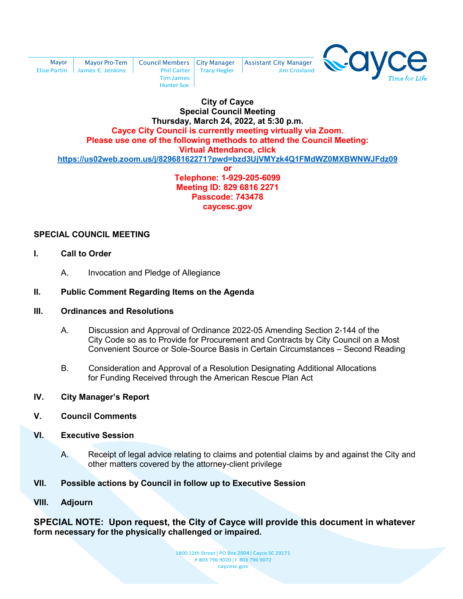| Mavor | <b>Mayor Pro-Tem</b>            | <b>Council Members   City Manager</b> |                            |
|-------|---------------------------------|---------------------------------------|----------------------------|
|       |                                 |                                       |                            |
|       | Elise Partin   James E. Jenkins |                                       | Phil Carter   Tracy Hegler |
|       |                                 | <b>Tim James</b>                      |                            |
|       |                                 | <b>Hunter Sox</b>                     |                            |



#### **City of Cayce Special Council Meeting Thursday, March 24, 2022, at 5:30 p.m. Cayce City Council is currently meeting virtually via Zoom. Please use one of the following methods to attend the Council Meeting: Virtual Attendance, click <https://us02web.zoom.us/j/82968162271?pwd=bzd3UjVMYzk4Q1FMdWZ0MXBWNWJFdz09> or**

**Assistant City Manager** 

Jim Crosland

**Telephone: 1-929-205-6099 Meeting ID: 829 6816 2271 Passcode: 743478 caycesc.gov** 

## **SPECIAL COUNCIL MEETING**

- **I. Call to Order**
	- A. Invocation and Pledge of Allegiance

### **II. Public Comment Regarding Items on the Agenda**

#### **III. Ordinances and Resolutions**

- A. Discussion and Approval of Ordinance 2022-05 Amending Section 2-144 of the City Code so as to Provide for Procurement and Contracts by City Council on a Most Convenient Source or Sole-Source Basis in Certain Circumstances – Second Reading
- B. Consideration and Approval of a Resolution Designating Additional Allocations for Funding Received through the American Rescue Plan Act
- **IV. City Manager's Report**
- **V. Council Comments**
- **VI. Executive Session**
	- A. Receipt of legal advice relating to claims and potential claims by and against the City and other matters covered by the attorney-client privilege
- **VII. Possible actions by Council in follow up to Executive Session**
- **VIII. Adjourn**

**SPECIAL NOTE: Upon request, the City of Cayce will provide this document in whatever form necessary for the physically challenged or impaired.**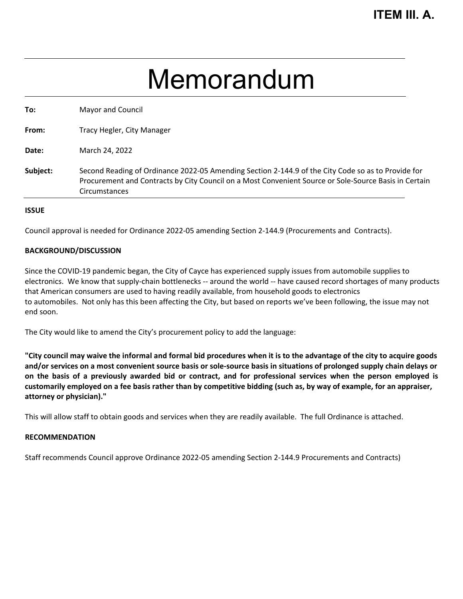## Memorandum

| To:      | Mayor and Council                                                                                                                                                                                                                   |
|----------|-------------------------------------------------------------------------------------------------------------------------------------------------------------------------------------------------------------------------------------|
| From:    | Tracy Hegler, City Manager                                                                                                                                                                                                          |
| Date:    | March 24, 2022                                                                                                                                                                                                                      |
| Subject: | Second Reading of Ordinance 2022-05 Amending Section 2-144.9 of the City Code so as to Provide for<br>Procurement and Contracts by City Council on a Most Convenient Source or Sole-Source Basis in Certain<br><b>Circumstances</b> |
|          |                                                                                                                                                                                                                                     |

#### **ISSUE**

Council approval is needed for Ordinance 2022-05 amending Section 2‐144.9 (Procurements and Contracts).

#### **BACKGROUND/DISCUSSION**

Since the COVID-19 pandemic began, the City of Cayce has experienced supply issues from automobile supplies to electronics. We know that supply‐chain bottlenecks ‐‐ around the world ‐‐ have caused record shortages of many products that American consumers are used to having readily available, from household goods to electronics to automobiles. Not only has this been affecting the City, but based on reports we've been following, the issue may not end soon.

The City would like to amend the City's procurement policy to add the language:

"City council may waive the informal and formal bid procedures when it is to the advantage of the city to acquire goods and/or services on a most convenient source basis or sole-source basis in situations of prolonged supply chain delays or on the basis of a previously awarded bid or contract, and for professional services when the person employed is customarily employed on a fee basis rather than by competitive bidding (such as, by way of example, for an appraiser, **attorney or physician)."**

This will allow staff to obtain goods and services when they are readily available. The full Ordinance is attached.

#### **RECOMMENDATION**

Staff recommends Council approve Ordinance 2022-05 amending Section 2‐144.9 Procurements and Contracts)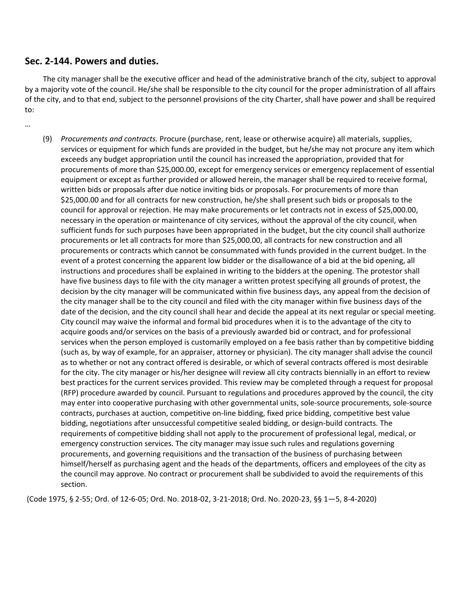## **Sec. 2‐144. Powers and duties.**

The city manager shall be the executive officer and head of the administrative branch of the city, subject to approval by a majority vote of the council. He/she shall be responsible to the city council for the proper administration of all affairs of the city, and to that end, subject to the personnel provisions of the city Charter, shall have power and shall be required to:

…

(9) *Procurements and contracts.* Procure (purchase, rent, lease or otherwise acquire) all materials, supplies, services or equipment for which funds are provided in the budget, but he/she may not procure any item which exceeds any budget appropriation until the council has increased the appropriation, provided that for procurements of more than \$25,000.00, except for emergency services or emergency replacement of essential equipment or except as further provided or allowed herein, the manager shall be required to receive formal, written bids or proposals after due notice inviting bids or proposals. For procurements of more than \$25,000.00 and for all contracts for new construction, he/she shall present such bids or proposals to the council for approval or rejection. He may make procurements or let contracts not in excess of \$25,000.00, necessary in the operation or maintenance of city services, without the approval of the city council, when sufficient funds for such purposes have been appropriated in the budget, but the city council shall authorize procurements or let all contracts for more than \$25,000.00, all contracts for new construction and all procurements or contracts which cannot be consummated with funds provided in the current budget. In the event of a protest concerning the apparent low bidder or the disallowance of a bid at the bid opening, all instructions and procedures shall be explained in writing to the bidders at the opening. The protestor shall have five business days to file with the city manager a written protest specifying all grounds of protest, the decision by the city manager will be communicated within five business days, any appeal from the decision of the city manager shall be to the city council and filed with the city manager within five business days of the date of the decision, and the city council shall hear and decide the appeal at its next regular or special meeting. City council may waive the informal and formal bid procedures when it is to the advantage of the city to acquire goods and/or services on the basis of a previously awarded bid or contract, and for professional services when the person employed is customarily employed on a fee basis rather than by competitive bidding (such as, by way of example, for an appraiser, attorney or physician). The city manager shall advise the council as to whether or not any contract offered is desirable, or which of several contracts offered is most desirable for the city. The city manager or his/her designee will review all city contracts biennially in an effort to review best practices for the current services provided. This review may be completed through a request for proposal (RFP) procedure awarded by council. Pursuant to regulations and procedures approved by the council, the city may enter into cooperative purchasing with other governmental units, sole‐source procurements, sole‐source contracts, purchases at auction, competitive on‐line bidding, fixed price bidding, competitive best value bidding, negotiations after unsuccessful competitive sealed bidding, or design‐build contracts. The requirements of competitive bidding shall not apply to the procurement of professional legal, medical, or emergency construction services. The city manager may issue such rules and regulations governing procurements, and governing requisitions and the transaction of the business of purchasing between himself/herself as purchasing agent and the heads of the departments, officers and employees of the city as the council may approve. No contract or procurement shall be subdivided to avoid the requirements of this section.

(Code 1975, § 2‐55; Ord. of 12‐6‐05; Ord. No. 2018‐02, 3‐21‐2018; Ord. No. 2020‐23, §§ 1—5, 8‐4‐2020)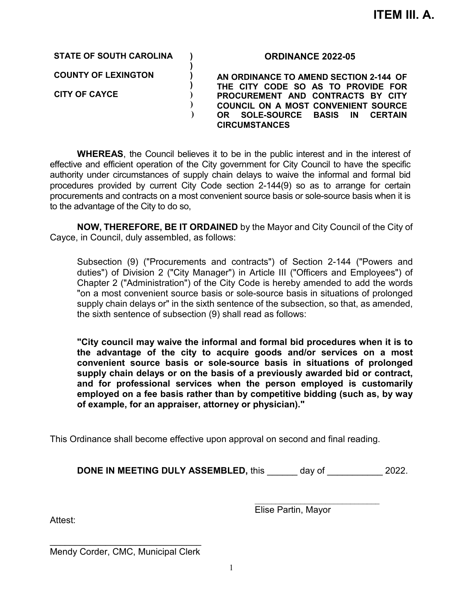**STATE OF SOUTH CAROLINA )**

**COUNTY OF LEXINGTON )** 

**CITY OF CAYCE )** 

**ORDINANCE 2022-05**

**AN ORDINANCE TO AMEND SECTION 2-144 OF THE CITY CODE SO AS TO PROVIDE FOR PROCUREMENT AND CONTRACTS BY CITY COUNCIL ON A MOST CONVENIENT SOURCE OR SOLE-SOURCE BASIS IN CERTAIN CIRCUMSTANCES**

**WHEREAS**, the Council believes it to be in the public interest and in the interest of effective and efficient operation of the City government for City Council to have the specific authority under circumstances of supply chain delays to waive the informal and formal bid procedures provided by current City Code section 2-144(9) so as to arrange for certain procurements and contracts on a most convenient source basis or sole-source basis when it is to the advantage of the City to do so,

**)** 

**)** 

 **) )** 

**NOW, THEREFORE, BE IT ORDAINED** by the Mayor and City Council of the City of Cayce, in Council, duly assembled, as follows:

Subsection (9) ("Procurements and contracts") of Section 2-144 ("Powers and duties") of Division 2 ("City Manager") in Article III ("Officers and Employees") of Chapter 2 ("Administration") of the City Code is hereby amended to add the words "on a most convenient source basis or sole-source basis in situations of prolonged supply chain delays or" in the sixth sentence of the subsection, so that, as amended, the sixth sentence of subsection (9) shall read as follows:

**"City council may waive the informal and formal bid procedures when it is to the advantage of the city to acquire goods and/or services on a most convenient source basis or sole-source basis in situations of prolonged supply chain delays or on the basis of a previously awarded bid or contract, and for professional services when the person employed is customarily employed on a fee basis rather than by competitive bidding (such as, by way of example, for an appraiser, attorney or physician)."**

This Ordinance shall become effective upon approval on second and final reading.

**DONE IN MEETING DULY ASSEMBLED, this \_\_\_\_\_\_\_\_ day of**  $2022$ **.** 

 $\overline{\phantom{a}}$  , where  $\overline{\phantom{a}}$  , where  $\overline{\phantom{a}}$  , where  $\overline{\phantom{a}}$  , where  $\overline{\phantom{a}}$ Elise Partin, Mayor

Attest:

\_\_\_\_\_\_\_\_\_\_\_\_\_\_\_\_\_\_\_\_\_\_\_\_\_\_\_\_\_\_ Mendy Corder, CMC, Municipal Clerk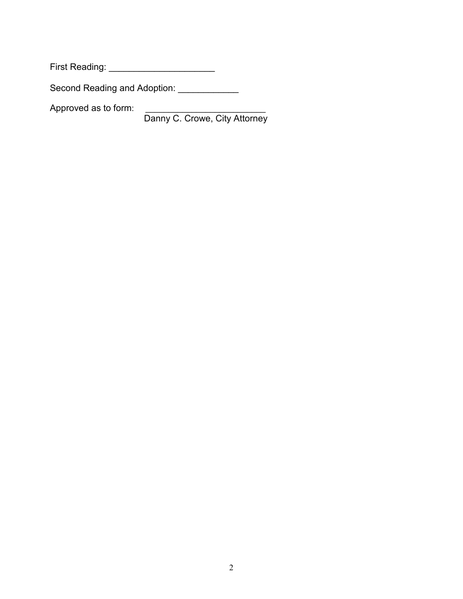First Reading: \_\_\_\_\_\_\_\_\_\_\_\_\_\_\_\_\_\_\_\_\_

Second Reading and Adoption: \_\_\_\_\_\_\_\_\_\_\_\_\_

Approved as to form: \_\_\_\_\_\_\_\_\_\_\_\_\_\_\_\_\_\_\_\_\_\_\_\_\_\_\_\_

Danny C. Crowe, City Attorney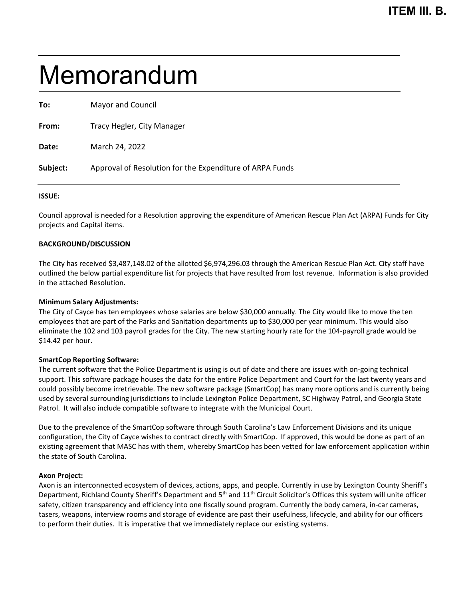# Memorandum

| To:      | Mayor and Council                                        |
|----------|----------------------------------------------------------|
| From:    | Tracy Hegler, City Manager                               |
| Date:    | March 24, 2022                                           |
| Subject: | Approval of Resolution for the Expenditure of ARPA Funds |
|          |                                                          |

#### **ISSUE:**

Council approval is needed for a Resolution approving the expenditure of American Rescue Plan Act (ARPA) Funds for City projects and Capital items.

#### **BACKGROUND/DISCUSSION**

The City has received \$3,487,148.02 of the allotted \$6,974,296.03 through the American Rescue Plan Act. City staff have outlined the below partial expenditure list for projects that have resulted from lost revenue. Information is also provided in the attached Resolution.

#### **Minimum Salary Adjustments:**

The City of Cayce has ten employees whose salaries are below \$30,000 annually. The City would like to move the ten employees that are part of the Parks and Sanitation departments up to \$30,000 per year minimum. This would also eliminate the 102 and 103 payroll grades for the City. The new starting hourly rate for the 104-payroll grade would be \$14.42 per hour.

#### **SmartCop Reporting Software:**

The current software that the Police Department is using is out of date and there are issues with on-going technical support. This software package houses the data for the entire Police Department and Court for the last twenty years and could possibly become irretrievable. The new software package (SmartCop) has many more options and is currently being used by several surrounding jurisdictions to include Lexington Police Department, SC Highway Patrol, and Georgia State Patrol. It will also include compatible software to integrate with the Municipal Court.

Due to the prevalence of the SmartCop software through South Carolina's Law Enforcement Divisions and its unique configuration, the City of Cayce wishes to contract directly with SmartCop. If approved, this would be done as part of an existing agreement that MASC has with them, whereby SmartCop has been vetted for law enforcement application within the state of South Carolina.

#### **Axon Project:**

Axon is an interconnected ecosystem of devices, actions, apps, and people. Currently in use by Lexington County Sheriff's Department, Richland County Sheriff's Department and  $5<sup>th</sup>$  and  $11<sup>th</sup>$  Circuit Solicitor's Offices this system will unite officer safety, citizen transparency and efficiency into one fiscally sound program. Currently the body camera, in-car cameras, tasers, weapons, interview rooms and storage of evidence are past their usefulness, lifecycle, and ability for our officers to perform their duties. It is imperative that we immediately replace our existing systems.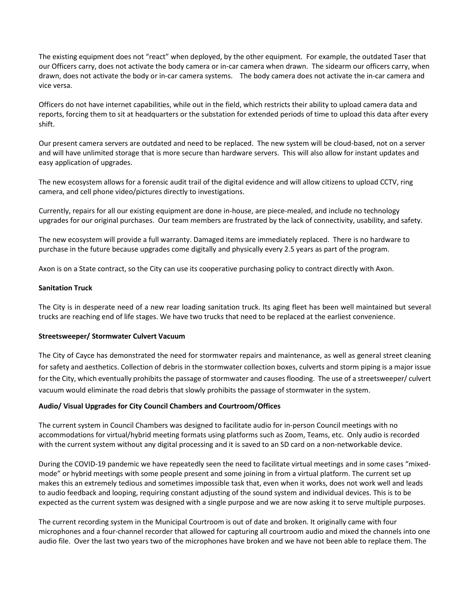The existing equipment does not "react" when deployed, by the other equipment. For example, the outdated Taser that our Officers carry, does not activate the body camera or in-car camera when drawn. The sidearm our officers carry, when drawn, does not activate the body or in-car camera systems. The body camera does not activate the in-car camera and vice versa.

Officers do not have internet capabilities, while out in the field, which restricts their ability to upload camera data and reports, forcing them to sit at headquarters or the substation for extended periods of time to upload this data after every shift.

Our present camera servers are outdated and need to be replaced. The new system will be cloud-based, not on a server and will have unlimited storage that is more secure than hardware servers. This will also allow for instant updates and easy application of upgrades.

The new ecosystem allows for a forensic audit trail of the digital evidence and will allow citizens to upload CCTV, ring camera, and cell phone video/pictures directly to investigations.

Currently, repairs for all our existing equipment are done in-house, are piece-mealed, and include no technology upgrades for our original purchases. Our team members are frustrated by the lack of connectivity, usability, and safety.

The new ecosystem will provide a full warranty. Damaged items are immediately replaced. There is no hardware to purchase in the future because upgrades come digitally and physically every 2.5 years as part of the program.

Axon is on a State contract, so the City can use its cooperative purchasing policy to contract directly with Axon.

#### **Sanitation Truck**

The City is in desperate need of a new rear loading sanitation truck. Its aging fleet has been well maintained but several trucks are reaching end of life stages. We have two trucks that need to be replaced at the earliest convenience.

#### **Streetsweeper/ Stormwater Culvert Vacuum**

The City of Cayce has demonstrated the need for stormwater repairs and maintenance, as well as general street cleaning for safety and aesthetics. Collection of debris in the stormwater collection boxes, culverts and storm piping is a major issue for the City, which eventually prohibits the passage of stormwater and causes flooding. The use of a streetsweeper/ culvert vacuum would eliminate the road debris that slowly prohibits the passage of stormwater in the system.

#### **Audio/ Visual Upgrades for City Council Chambers and Courtroom/Offices**

The current system in Council Chambers was designed to facilitate audio for in-person Council meetings with no accommodations for virtual/hybrid meeting formats using platforms such as Zoom, Teams, etc. Only audio is recorded with the current system without any digital processing and it is saved to an SD card on a non-networkable device.

During the COVID-19 pandemic we have repeatedly seen the need to facilitate virtual meetings and in some cases "mixedmode" or hybrid meetings with some people present and some joining in from a virtual platform. The current set up makes this an extremely tedious and sometimes impossible task that, even when it works, does not work well and leads to audio feedback and looping, requiring constant adjusting of the sound system and individual devices. This is to be expected as the current system was designed with a single purpose and we are now asking it to serve multiple purposes.

The current recording system in the Municipal Courtroom is out of date and broken. It originally came with four microphones and a four-channel recorder that allowed for capturing all courtroom audio and mixed the channels into one audio file. Over the last two years two of the microphones have broken and we have not been able to replace them. The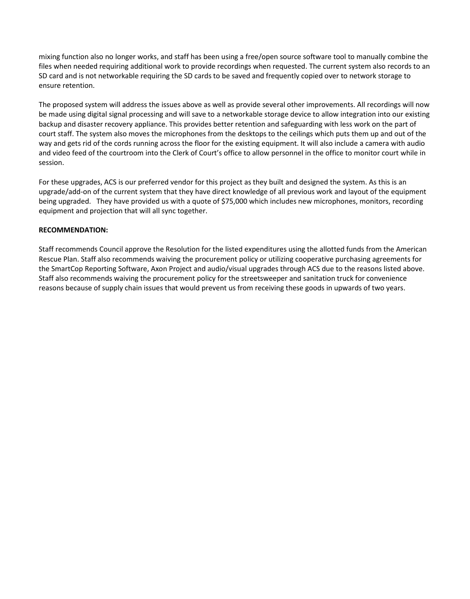mixing function also no longer works, and staff has been using a free/open source software tool to manually combine the files when needed requiring additional work to provide recordings when requested. The current system also records to an SD card and is not networkable requiring the SD cards to be saved and frequently copied over to network storage to ensure retention.

The proposed system will address the issues above as well as provide several other improvements. All recordings will now be made using digital signal processing and will save to a networkable storage device to allow integration into our existing backup and disaster recovery appliance. This provides better retention and safeguarding with less work on the part of court staff. The system also moves the microphones from the desktops to the ceilings which puts them up and out of the way and gets rid of the cords running across the floor for the existing equipment. It will also include a camera with audio and video feed of the courtroom into the Clerk of Court's office to allow personnel in the office to monitor court while in session.

For these upgrades, ACS is our preferred vendor for this project as they built and designed the system. As this is an upgrade/add-on of the current system that they have direct knowledge of all previous work and layout of the equipment being upgraded. They have provided us with a quote of \$75,000 which includes new microphones, monitors, recording equipment and projection that will all sync together.

#### **RECOMMENDATION:**

Staff recommends Council approve the Resolution for the listed expenditures using the allotted funds from the American Rescue Plan. Staff also recommends waiving the procurement policy or utilizing cooperative purchasing agreements for the SmartCop Reporting Software, Axon Project and audio/visual upgrades through ACS due to the reasons listed above. Staff also recommends waiving the procurement policy for the streetsweeper and sanitation truck for convenience reasons because of supply chain issues that would prevent us from receiving these goods in upwards of two years.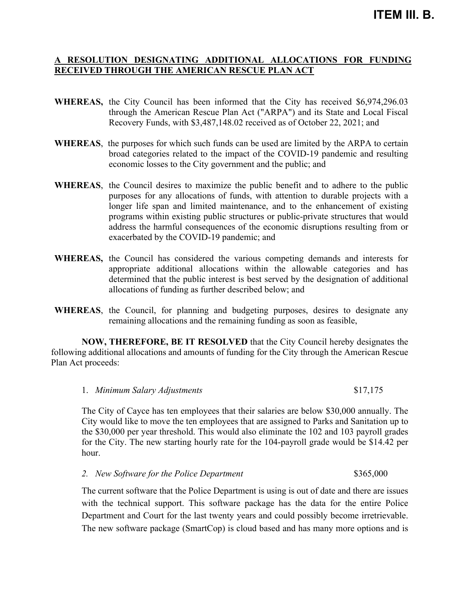## **A RESOLUTION DESIGNATING ADDITIONAL ALLOCATIONS FOR FUNDING RECEIVED THROUGH THE AMERICAN RESCUE PLAN ACT**

- **WHEREAS,** the City Council has been informed that the City has received \$6,974,296.03 through the American Rescue Plan Act ("ARPA") and its State and Local Fiscal Recovery Funds, with \$3,487,148.02 received as of October 22, 2021; and
- **WHEREAS**, the purposes for which such funds can be used are limited by the ARPA to certain broad categories related to the impact of the COVID-19 pandemic and resulting economic losses to the City government and the public; and
- **WHEREAS**, the Council desires to maximize the public benefit and to adhere to the public purposes for any allocations of funds, with attention to durable projects with a longer life span and limited maintenance, and to the enhancement of existing programs within existing public structures or public-private structures that would address the harmful consequences of the economic disruptions resulting from or exacerbated by the COVID-19 pandemic; and
- **WHEREAS,** the Council has considered the various competing demands and interests for appropriate additional allocations within the allowable categories and has determined that the public interest is best served by the designation of additional allocations of funding as further described below; and
- **WHEREAS**, the Council, for planning and budgeting purposes, desires to designate any remaining allocations and the remaining funding as soon as feasible,

**NOW, THEREFORE, BE IT RESOLVED** that the City Council hereby designates the following additional allocations and amounts of funding for the City through the American Rescue Plan Act proceeds:

1. *Minimum Salary Adjustments* \$17,175

The City of Cayce has ten employees that their salaries are below \$30,000 annually. The City would like to move the ten employees that are assigned to Parks and Sanitation up to the \$30,000 per year threshold. This would also eliminate the 102 and 103 payroll grades for the City. The new starting hourly rate for the 104-payroll grade would be \$14.42 per hour.

2. *New Software for the Police Department* \$365,000

The current software that the Police Department is using is out of date and there are issues with the technical support. This software package has the data for the entire Police Department and Court for the last twenty years and could possibly become irretrievable. The new software package (SmartCop) is cloud based and has many more options and is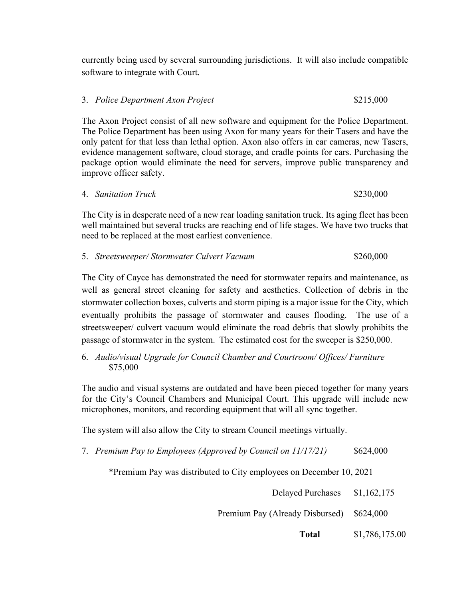currently being used by several surrounding jurisdictions. It will also include compatible software to integrate with Court.

## 3. *Police Department Axon Project* \$215,000

The Axon Project consist of all new software and equipment for the Police Department. The Police Department has been using Axon for many years for their Tasers and have the only patent for that less than lethal option. Axon also offers in car cameras, new Tasers, evidence management software, cloud storage, and cradle points for cars. Purchasing the package option would eliminate the need for servers, improve public transparency and improve officer safety.

|  | 4. Sanitation Truck | \$230,000 |
|--|---------------------|-----------|
|--|---------------------|-----------|

The City is in desperate need of a new rear loading sanitation truck. Its aging fleet has been well maintained but several trucks are reaching end of life stages. We have two trucks that need to be replaced at the most earliest convenience.

|  | 5. Streetsweeper/Stormwater Culvert Vacuum | \$260,000 |
|--|--------------------------------------------|-----------|
|--|--------------------------------------------|-----------|

The City of Cayce has demonstrated the need for stormwater repairs and maintenance, as well as general street cleaning for safety and aesthetics. Collection of debris in the stormwater collection boxes, culverts and storm piping is a major issue for the City, which eventually prohibits the passage of stormwater and causes flooding. The use of a streetsweeper/ culvert vacuum would eliminate the road debris that slowly prohibits the passage of stormwater in the system. The estimated cost for the sweeper is \$250,000.

6. *Audio/visual Upgrade for Council Chamber and Courtroom/ Offices/ Furniture* \$75,000

The audio and visual systems are outdated and have been pieced together for many years for the City's Council Chambers and Municipal Court. This upgrade will include new microphones, monitors, and recording equipment that will all sync together.

The system will also allow the City to stream Council meetings virtually.

7. *Premium Pay to Employees (Approved by Council on 11/17/21)* \$624,000

\*Premium Pay was distributed to City employees on December 10, 2021

Delayed Purchases \$1,162,175

Premium Pay (Already Disbursed) \$624,000

**Total** \$1,786,175.00